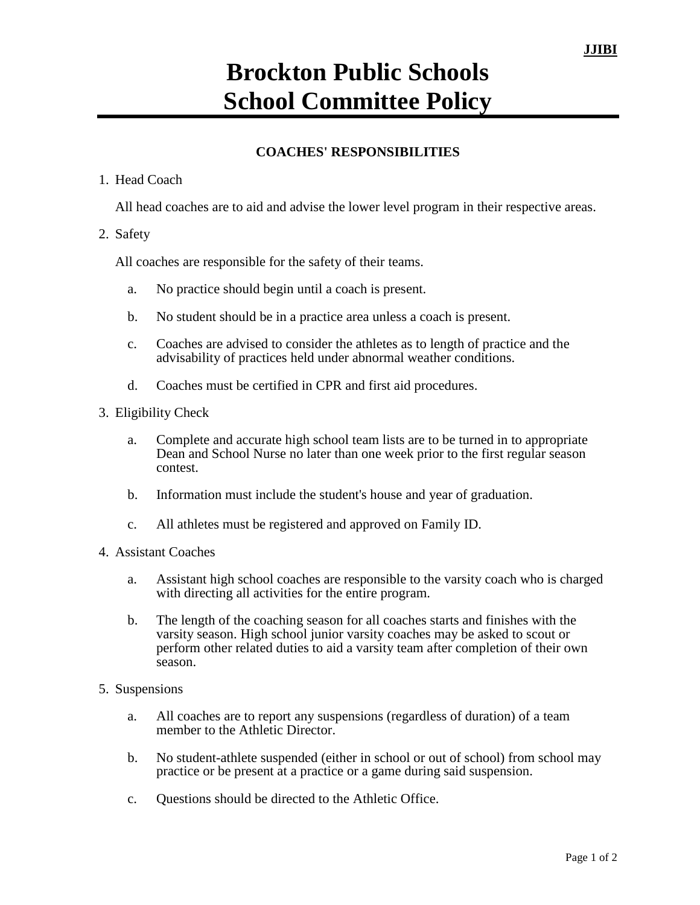## **Brockton Public Schools School Committee Policy**

## **COACHES' RESPONSIBILITIES**

## 1. Head Coach

All head coaches are to aid and advise the lower level program in their respective areas.

## 2. Safety

All coaches are responsible for the safety of their teams.

- a. No practice should begin until a coach is present.
- b. No student should be in a practice area unless a coach is present.
- c. Coaches are advised to consider the athletes as to length of practice and the advisability of practices held under abnormal weather conditions.
- d. Coaches must be certified in CPR and first aid procedures.
- 3. Eligibility Check
	- a. Complete and accurate high school team lists are to be turned in to appropriate Dean and School Nurse no later than one week prior to the first regular season contest.
	- b. Information must include the student's house and year of graduation.
	- c. All athletes must be registered and approved on Family ID.
- 4. Assistant Coaches
	- a. Assistant high school coaches are responsible to the varsity coach who is charged with directing all activities for the entire program.
	- b. The length of the coaching season for all coaches starts and finishes with the varsity season. High school junior varsity coaches may be asked to scout or perform other related duties to aid a varsity team after completion of their own season.
- 5. Suspensions
	- a. All coaches are to report any suspensions (regardless of duration) of a team member to the Athletic Director.
	- b. No student-athlete suspended (either in school or out of school) from school may practice or be present at a practice or a game during said suspension.
	- c. Questions should be directed to the Athletic Office.